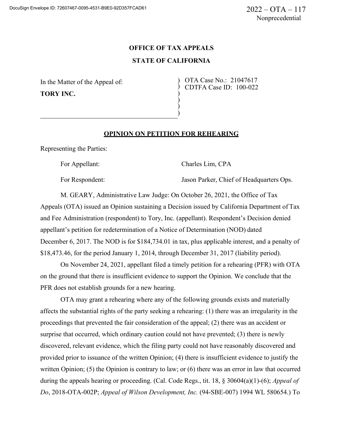## **OFFICE OF TAX APPEALS STATE OF CALIFORNIA**

) ) ) )

In the Matter of the Appeal of: **TORY INC.**

) OTA Case No.: 21047617 ) CDTFA Case ID: 100-022

## **OPINION ON PETITION FOR REHEARING**

Representing the Parties:

For Appellant: Charles Lim, CPA

For Respondent:  $Jason Parker$ , Chief of Headquarters Ops.

M. GEARY, Administrative Law Judge: On October 26, 2021, the Office of Tax Appeals (OTA) issued an Opinion sustaining a Decision issued by California Department of Tax and Fee Administration (respondent) to Tory, Inc. (appellant). Respondent's Decision denied appellant's petition for redetermination of a Notice of Determination (NOD) dated December 6, 2017. The NOD is for \$184,734.01 in tax, plus applicable interest, and a penalty of \$18,473.46, for the period January 1, 2014, through December 31, 2017 (liability period).

On November 24, 2021, appellant filed a timely petition for a rehearing (PFR) with OTA on the ground that there is insufficient evidence to support the Opinion. We conclude that the PFR does not establish grounds for a new hearing.

OTA may grant a rehearing where any of the following grounds exists and materially affects the substantial rights of the party seeking a rehearing: (1) there was an irregularity in the proceedings that prevented the fair consideration of the appeal; (2) there was an accident or surprise that occurred, which ordinary caution could not have prevented; (3) there is newly discovered, relevant evidence, which the filing party could not have reasonably discovered and provided prior to issuance of the written Opinion; (4) there is insufficient evidence to justify the written Opinion; (5) the Opinion is contrary to law; or (6) there was an error in law that occurred during the appeals hearing or proceeding. (Cal. Code Regs., tit. 18, § 30604(a)(1)-(6); *Appeal of Do*, 2018-OTA-002P; *Appeal of Wilson Development, Inc.* (94-SBE-007) 1994 WL 580654.) To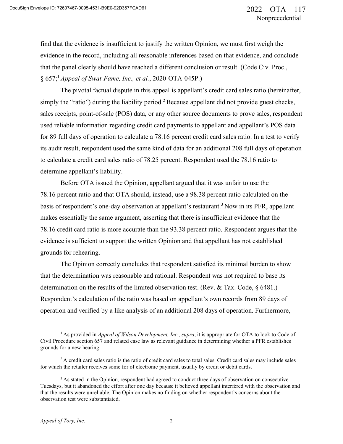find that the evidence is insufficient to justify the written Opinion, we must first weigh the evidence in the record, including all reasonable inferences based on that evidence, and conclude that the panel clearly should have reached a different conclusion or result. (Code Civ. Proc., § 657;<sup>1</sup>*Appeal of Swat-Fame, Inc., et al.*, 2020-OTA-045P.)

The pivotal factual dispute in this appeal is appellant's credit card sales ratio (hereinafter, simply the "ratio") during the liability period.<sup>2</sup> Because appellant did not provide guest checks, sales receipts, point-of-sale (POS) data, or any other source documents to prove sales, respondent used reliable information regarding credit card payments to appellant and appellant's POS data for 89 full days of operation to calculate a 78.16 percent credit card sales ratio. In a test to verify its audit result, respondent used the same kind of data for an additional 208 full days of operation to calculate a credit card sales ratio of 78.25 percent. Respondent used the 78.16 ratio to determine appellant's liability.

Before OTA issued the Opinion, appellant argued that it was unfair to use the 78.16 percent ratio and that OTA should, instead, use a 98.38 percent ratio calculated on the basis of respondent's one-day observation at appellant's restaurant.<sup>3</sup> Now in its PFR, appellant makes essentially the same argument, asserting that there is insufficient evidence that the 78.16 credit card ratio is more accurate than the 93.38 percent ratio. Respondent argues that the evidence is sufficient to support the written Opinion and that appellant has not established grounds for rehearing.

The Opinion correctly concludes that respondent satisfied its minimal burden to show that the determination was reasonable and rational. Respondent was not required to base its determination on the results of the limited observation test. (Rev. & Tax. Code, § 6481.) Respondent's calculation of the ratio was based on appellant's own records from 89 days of operation and verified by a like analysis of an additional 208 days of operation. Furthermore,

<sup>&</sup>lt;sup>1</sup> As provided in *Appeal of Wilson Development, Inc., supra*, it is appropriate for OTA to look to Code of Civil Procedure section 657 and related case law as relevant guidance in determining whether a PFR establishes grounds for a new hearing.

 $2A$  credit card sales ratio is the ratio of credit card sales to total sales. Credit card sales may include sales for which the retailer receives some for of electronic payment, usually by credit or debit cards.

<sup>&</sup>lt;sup>3</sup> As stated in the Opinion, respondent had agreed to conduct three days of observation on consecutive Tuesdays, but it abandoned the effort after one day because it believed appellant interfered with the observation and that the results were unreliable. The Opinion makes no finding on whether respondent's concerns about the observation test were substantiated.